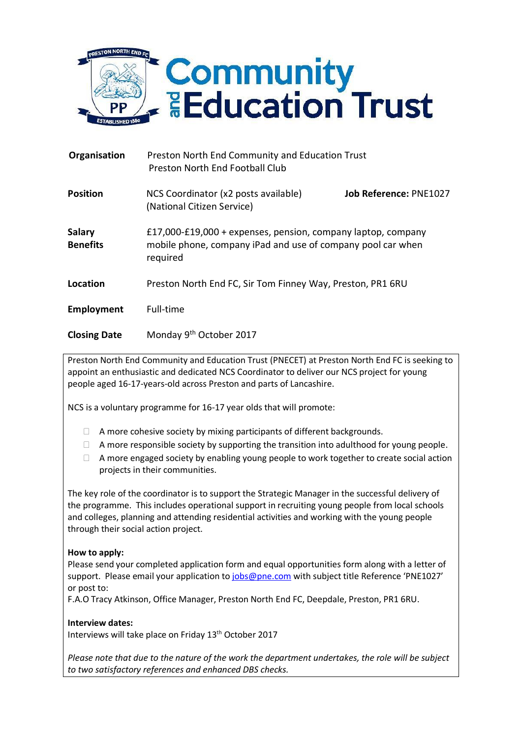

| Organisation                     | Preston North End Community and Education Trust<br>Preston North End Football Club                                                      |                               |
|----------------------------------|-----------------------------------------------------------------------------------------------------------------------------------------|-------------------------------|
| <b>Position</b>                  | NCS Coordinator (x2 posts available)<br>(National Citizen Service)                                                                      | <b>Job Reference: PNE1027</b> |
| <b>Salary</b><br><b>Benefits</b> | £17,000-£19,000 + expenses, pension, company laptop, company<br>mobile phone, company iPad and use of company pool car when<br>required |                               |
| Location                         | Preston North End FC, Sir Tom Finney Way, Preston, PR1 6RU                                                                              |                               |
| Employment                       | Full-time                                                                                                                               |                               |

Preston North End Community and Education Trust (PNECET) at Preston North End FC is seeking to appoint an enthusiastic and dedicated NCS Coordinator to deliver our NCS project for young

people aged 16-17-years-old across Preston and parts of Lancashire.

Monday 9<sup>th</sup> October 2017

NCS is a voluntary programme for 16-17 year olds that will promote:

- $\Box$  A more cohesive society by mixing participants of different backgrounds.
- $\Box$  A more responsible society by supporting the transition into adulthood for young people.
- $\Box$  A more engaged society by enabling young people to work together to create social action projects in their communities.

The key role of the coordinator is to support the Strategic Manager in the successful delivery of the programme. This includes operational support in recruiting young people from local schools and colleges, planning and attending residential activities and working with the young people through their social action project.

## **How to apply:**

**Closing Date**

Please send your completed application form and equal opportunities form along with a letter of support. Please email your application to [jobs@pne.com](mailto:jobs@pne.com) with subject title Reference 'PNE1027' or post to:

F.A.O Tracy Atkinson, Office Manager, Preston North End FC, Deepdale, Preston, PR1 6RU.

## **Interview dates:**

Interviews will take place on Friday 13th October 2017

*Please note that due to the nature of the work the department undertakes, the role will be subject to two satisfactory references and enhanced DBS checks.*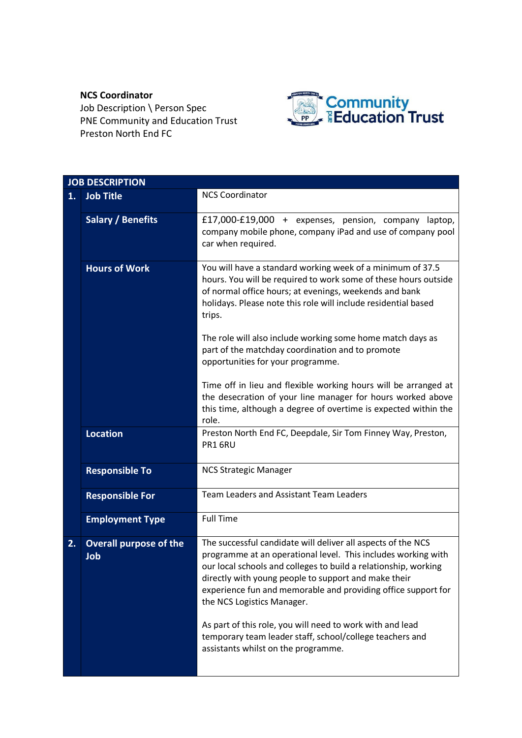## **NCS Coordinator**

Job Description \ Person Spec PNE Community and Education Trust Preston North End FC



|    | <b>JOB DESCRIPTION</b>               |                                                                                                                                                                                                                                                                                                                                                                                                                                                                                                                         |  |
|----|--------------------------------------|-------------------------------------------------------------------------------------------------------------------------------------------------------------------------------------------------------------------------------------------------------------------------------------------------------------------------------------------------------------------------------------------------------------------------------------------------------------------------------------------------------------------------|--|
| 1. | <b>Job Title</b>                     | <b>NCS Coordinator</b>                                                                                                                                                                                                                                                                                                                                                                                                                                                                                                  |  |
|    | <b>Salary / Benefits</b>             | £17,000-£19,000 + expenses, pension, company laptop,<br>company mobile phone, company iPad and use of company pool<br>car when required.                                                                                                                                                                                                                                                                                                                                                                                |  |
|    | <b>Hours of Work</b>                 | You will have a standard working week of a minimum of 37.5<br>hours. You will be required to work some of these hours outside<br>of normal office hours; at evenings, weekends and bank<br>holidays. Please note this role will include residential based<br>trips.                                                                                                                                                                                                                                                     |  |
|    |                                      | The role will also include working some home match days as<br>part of the matchday coordination and to promote<br>opportunities for your programme.                                                                                                                                                                                                                                                                                                                                                                     |  |
|    |                                      | Time off in lieu and flexible working hours will be arranged at<br>the desecration of your line manager for hours worked above<br>this time, although a degree of overtime is expected within the<br>role.                                                                                                                                                                                                                                                                                                              |  |
|    | <b>Location</b>                      | Preston North End FC, Deepdale, Sir Tom Finney Way, Preston,<br>PR1 6RU                                                                                                                                                                                                                                                                                                                                                                                                                                                 |  |
|    | <b>Responsible To</b>                | <b>NCS Strategic Manager</b>                                                                                                                                                                                                                                                                                                                                                                                                                                                                                            |  |
|    | <b>Responsible For</b>               | <b>Team Leaders and Assistant Team Leaders</b>                                                                                                                                                                                                                                                                                                                                                                                                                                                                          |  |
|    | <b>Employment Type</b>               | <b>Full Time</b>                                                                                                                                                                                                                                                                                                                                                                                                                                                                                                        |  |
| 2. | <b>Overall purpose of the</b><br>Job | The successful candidate will deliver all aspects of the NCS<br>programme at an operational level. This includes working with<br>our local schools and colleges to build a relationship, working<br>directly with young people to support and make their<br>experience fun and memorable and providing office support for<br>the NCS Logistics Manager.<br>As part of this role, you will need to work with and lead<br>temporary team leader staff, school/college teachers and<br>assistants whilst on the programme. |  |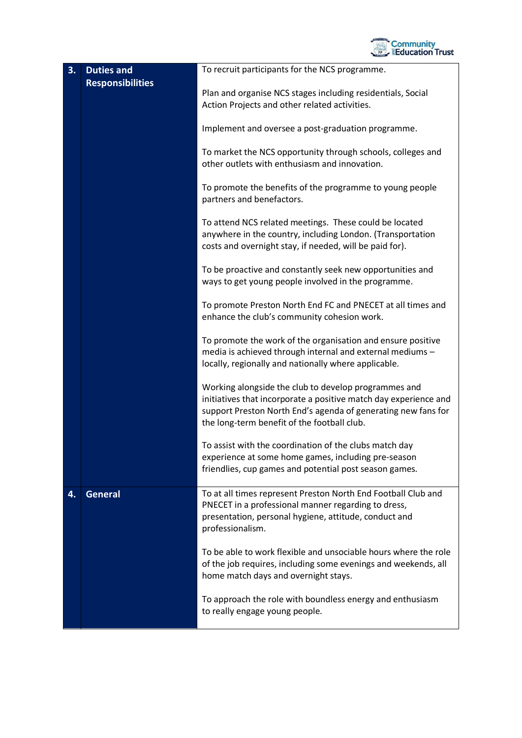

| 3. | <b>Duties and</b><br><b>Responsibilities</b> | To recruit participants for the NCS programme.                                                                                                                                                                                           |
|----|----------------------------------------------|------------------------------------------------------------------------------------------------------------------------------------------------------------------------------------------------------------------------------------------|
|    |                                              | Plan and organise NCS stages including residentials, Social<br>Action Projects and other related activities.                                                                                                                             |
|    |                                              | Implement and oversee a post-graduation programme.                                                                                                                                                                                       |
|    |                                              | To market the NCS opportunity through schools, colleges and<br>other outlets with enthusiasm and innovation.                                                                                                                             |
|    |                                              | To promote the benefits of the programme to young people<br>partners and benefactors.                                                                                                                                                    |
|    |                                              | To attend NCS related meetings. These could be located<br>anywhere in the country, including London. (Transportation<br>costs and overnight stay, if needed, will be paid for).                                                          |
|    |                                              | To be proactive and constantly seek new opportunities and<br>ways to get young people involved in the programme.                                                                                                                         |
|    |                                              | To promote Preston North End FC and PNECET at all times and<br>enhance the club's community cohesion work.                                                                                                                               |
|    |                                              | To promote the work of the organisation and ensure positive<br>media is achieved through internal and external mediums -<br>locally, regionally and nationally where applicable.                                                         |
|    |                                              | Working alongside the club to develop programmes and<br>initiatives that incorporate a positive match day experience and<br>support Preston North End's agenda of generating new fans for<br>the long-term benefit of the football club. |
|    |                                              | To assist with the coordination of the clubs match day<br>experience at some home games, including pre-season<br>friendlies, cup games and potential post season games.                                                                  |
| 4. | <b>General</b>                               | To at all times represent Preston North End Football Club and<br>PNECET in a professional manner regarding to dress,<br>presentation, personal hygiene, attitude, conduct and<br>professionalism.                                        |
|    |                                              | To be able to work flexible and unsociable hours where the role<br>of the job requires, including some evenings and weekends, all<br>home match days and overnight stays.                                                                |
|    |                                              | To approach the role with boundless energy and enthusiasm<br>to really engage young people.                                                                                                                                              |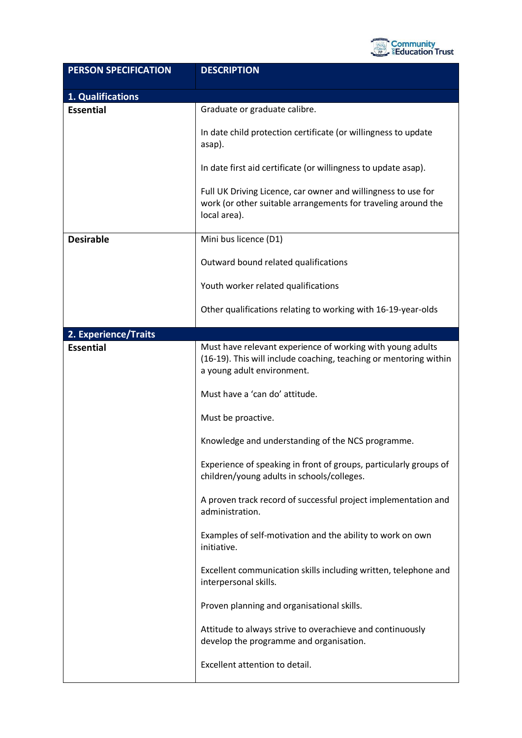

| <b>PERSON SPECIFICATION</b> | <b>DESCRIPTION</b>                                                                                                                                            |
|-----------------------------|---------------------------------------------------------------------------------------------------------------------------------------------------------------|
| 1. Qualifications           |                                                                                                                                                               |
| <b>Essential</b>            | Graduate or graduate calibre.                                                                                                                                 |
|                             | In date child protection certificate (or willingness to update<br>asap).                                                                                      |
|                             | In date first aid certificate (or willingness to update asap).                                                                                                |
|                             | Full UK Driving Licence, car owner and willingness to use for<br>work (or other suitable arrangements for traveling around the<br>local area).                |
| <b>Desirable</b>            | Mini bus licence (D1)                                                                                                                                         |
|                             | Outward bound related qualifications                                                                                                                          |
|                             | Youth worker related qualifications                                                                                                                           |
|                             | Other qualifications relating to working with 16-19-year-olds                                                                                                 |
| 2. Experience/Traits        |                                                                                                                                                               |
| <b>Essential</b>            | Must have relevant experience of working with young adults<br>(16-19). This will include coaching, teaching or mentoring within<br>a young adult environment. |
|                             | Must have a 'can do' attitude.                                                                                                                                |
|                             | Must be proactive.                                                                                                                                            |
|                             | Knowledge and understanding of the NCS programme.                                                                                                             |
|                             | Experience of speaking in front of groups, particularly groups of<br>children/young adults in schools/colleges.                                               |
|                             | A proven track record of successful project implementation and<br>administration.                                                                             |
|                             | Examples of self-motivation and the ability to work on own<br>initiative.                                                                                     |
|                             | Excellent communication skills including written, telephone and<br>interpersonal skills.                                                                      |
|                             | Proven planning and organisational skills.                                                                                                                    |
|                             | Attitude to always strive to overachieve and continuously<br>develop the programme and organisation.                                                          |
|                             | Excellent attention to detail.                                                                                                                                |